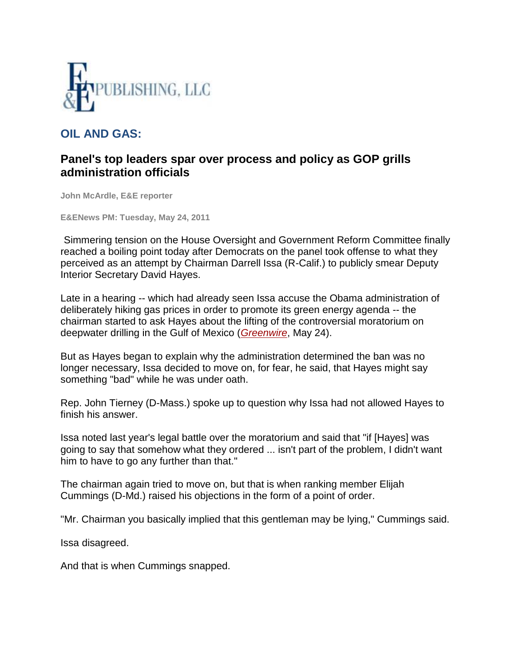

## **OIL AND GAS:**

## **Panel's top leaders spar over process and policy as GOP grills administration officials**

**John McArdle, E&E reporter**

**E&ENews PM: Tuesday, May 24, 2011**

Simmering tension on the House Oversight and Government Reform Committee finally reached a boiling point today after Democrats on the panel took offense to what they perceived as an attempt by Chairman Darrell Issa (R-Calif.) to publicly smear Deputy Interior Secretary David Hayes.

Late in a hearing -- which had already seen Issa accuse the Obama administration of deliberately hiking gas prices in order to promote its green energy agenda -- the chairman started to ask Hayes about the lifting of the controversial moratorium on deepwater drilling in the Gulf of Mexico (*[Greenwire](http://www.eenews.net/Greenwire/2011/05/24/archive/1)*, May 24).

But as Hayes began to explain why the administration determined the ban was no longer necessary, Issa decided to move on, for fear, he said, that Hayes might say something "bad" while he was under oath.

Rep. John Tierney (D-Mass.) spoke up to question why Issa had not allowed Hayes to finish his answer.

Issa noted last year's legal battle over the moratorium and said that "if [Hayes] was going to say that somehow what they ordered ... isn't part of the problem, I didn't want him to have to go any further than that."

The chairman again tried to move on, but that is when ranking member Elijah Cummings (D-Md.) raised his objections in the form of a point of order.

"Mr. Chairman you basically implied that this gentleman may be lying," Cummings said.

Issa disagreed.

And that is when Cummings snapped.